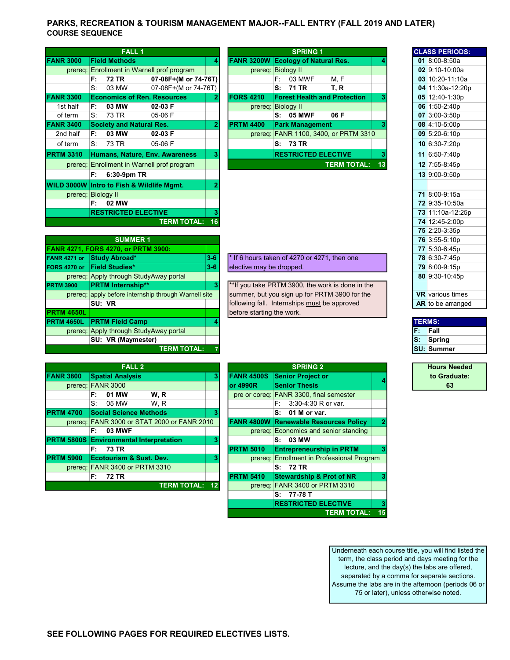## PARKS, RECREATION & TOURISM MANAGEMENT MAJOR--FALL ENTRY (FALL 2019 AND LATER) COURSE SEQUENCE

|                  | <b>FALL 1</b>                   |                                            |    |                  | <b>SPRING 1</b>                           |                                       |    | <b>CLASS PERIODS:</b> |
|------------------|---------------------------------|--------------------------------------------|----|------------------|-------------------------------------------|---------------------------------------|----|-----------------------|
| <b>FANR 3000</b> | <b>Field Methods</b>            |                                            | 41 |                  | <b>FANR 3200W Ecology of Natural Res.</b> |                                       |    | 01 8:00-8:50a         |
|                  |                                 | prereg: Enrollment in Warnell prof program |    |                  | prereg: Biology II                        |                                       |    | 02 9:10-10:00a        |
|                  | 72 TR<br>F:                     | 07-08F+(M or 74-76T)                       |    |                  | 03 MWF<br>F: I                            | M, F                                  |    | 03 10:20-11:10a       |
|                  | S.<br>03 MW                     | 07-08F+(M or 74-76T)                       |    |                  | 71 TR<br>s:                               | T, R                                  |    | 04 11:30a-12:20p      |
| <b>FANR 3300</b> |                                 | <b>Economics of Ren. Resources</b>         |    | <b>FORS 4210</b> | <b>Forest Health and Protection</b>       |                                       |    | 05 12:40-1:30p        |
| 1st half         | 03 MW<br>F:                     | $02-03$ F                                  |    |                  | prereg: Biology II                        |                                       |    | 06 1:50-2:40p         |
| of term          | 73 TR<br>S:                     | 05-06 F                                    |    |                  | <b>05 MWF</b><br>S:                       | 06 F                                  |    | $07 \mid 3:00-3:50p$  |
| <b>FANR 3400</b> | <b>Society and Natural Res.</b> |                                            | 2  | <b>PRTM 4400</b> | <b>Park Management</b>                    |                                       |    | $08$ 4:10-5:00p       |
| 2nd half         | 03 MW<br>F:                     | $02-03$ F                                  |    |                  |                                           | prereq: FANR 1100, 3400, or PRTM 3310 |    | 09 5:20-6:10p         |
| of term          | 73 TR<br>S:                     | 05-06 F                                    |    |                  | S: 73 TR                                  |                                       |    | 10 6:30-7:20p         |
| <b>PRTM 3310</b> |                                 | <b>Humans, Nature, Env. Awareness</b>      |    |                  | <b>RESTRICTED ELECTIVE</b>                |                                       |    | 11 6:50-7:40p         |
|                  |                                 | prereq: Enrollment in Warnell prof program |    |                  |                                           | <b>TERM TOTAL:</b>                    | 13 | 12 7:55-8:45p         |
|                  | $6:30-9$ pm TR<br>F:            |                                            |    |                  |                                           |                                       |    | 13 9:00-9:50p         |
|                  |                                 | WILD 3000W Intro to Fish & Wildlife Mgmt.  |    |                  |                                           |                                       |    |                       |
|                  | prereq: Biology II              |                                            |    |                  |                                           |                                       |    | 71 8:00-9:15a         |
|                  | 02 MW<br>F:                     |                                            |    |                  |                                           |                                       |    | 72 9:35-10:50a        |
|                  | <b>RESTRICTED ELECTIVE</b>      |                                            |    |                  |                                           |                                       |    | 73 11:10a-12:25p      |
|                  |                                 | TERM TOTAL:                                |    |                  |                                           |                                       |    | $74$ 12:45-2:00 n     |

|                | <b>FALL 1</b>                   |                                            |              |                  | <b>SPRING 1</b>                           |                    |    | <b>CLASS PERIODS:</b> |
|----------------|---------------------------------|--------------------------------------------|--------------|------------------|-------------------------------------------|--------------------|----|-----------------------|
| <b>NR 3000</b> | <b>Field Methods</b>            |                                            | 4            |                  | <b>FANR 3200W Ecology of Natural Res.</b> |                    |    | 01 8:00-8:50a         |
| prereq:        |                                 | Enrollment in Warnell prof program         |              |                  | prereg: Biology II                        |                    |    | $02$ 9:10-10:00a      |
|                | F:<br>72 TR                     | 07-08F+(M or 74-76T)                       |              |                  | 03 MWF<br>F: I                            | M.F                |    | $03 10:20-11:10a$     |
|                | S:<br>03 MW                     | 07-08F+(M or 74-76T)                       |              |                  | 71 TR<br>S:                               | T. R               |    | 04 11:30a-12:20p      |
| <b>NR 3300</b> |                                 | <b>Economics of Ren. Resources</b>         | $\mathbf{2}$ | <b>FORS 4210</b> | <b>Forest Health and Protection</b>       |                    | з  | 05 12:40-1:30p        |
| 1st half       | 03 MW<br>F:                     | $02-03$ F                                  |              |                  | prereg: Biology II                        |                    |    | $06$ 1:50-2:40p       |
| of term        | S.<br>73 TR                     | $05-06$ F                                  |              |                  | <b>05 MWF</b><br>S:                       | 06 F               |    | 07 3:00-3:50p         |
| <b>NR 3400</b> | <b>Society and Natural Res.</b> |                                            | $\mathbf{2}$ | <b>PRTM 4400</b> | <b>Park Management</b>                    |                    |    | 08 4:10-5:00p         |
| 2nd half       | 03 MW<br>F:                     | $02-03$ F                                  |              |                  | prereq: FANR 1100, 3400, or PRTM 3310     |                    |    | 09 5:20-6:10p         |
| of term        | S.<br>73 TR                     | $05-06$ F                                  |              |                  | S: 73 TR                                  |                    |    | 10 6:30-7:20p         |
| TM 3310        |                                 | Humans, Nature, Env. Awareness             | 3            |                  | <b>RESTRICTED ELECTIVE</b>                |                    |    | 11 6:50-7:40p         |
|                |                                 | prereg: Enrollment in Warnell prof program |              |                  |                                           | <b>TERM TOTAL:</b> | 13 | 12 7:55-8:45p         |
|                | F:<br>6:30-9pm TR               |                                            |              |                  |                                           |                    |    | 13 9:00-9:50p         |

|                   | <b>SUMMER 1</b>                                      |         |                                                   |     | 76 3:55-5:10p          |
|-------------------|------------------------------------------------------|---------|---------------------------------------------------|-----|------------------------|
|                   | <b>FANR 4271, FORS 4270, or PRTM 3900:</b>           |         |                                                   |     | 77 5:30-6:45p          |
| FANR 4271 or      | Study Abroad*                                        | $3 - 6$ | $*$ If 6 hours taken of 4270 or 4271, then one    |     | 78 6:30-7:45p          |
| FORS 4270 or      | <b>Field Studies*</b>                                | $3-6$   | elective may be dropped.                          |     | 79 8:00-9:15p          |
|                   | prereq: Apply through StudyAway portal               |         |                                                   |     | 80 9:30-10:45p         |
| <b>PRTM 3900</b>  | <b>PRTM Internship**</b>                             | 3       | ** If you take PRTM 3900, the work is done in the |     |                        |
|                   | prereq: apply before internship through Warnell site |         | summer, but you sign up for PRTM 3900 for the     |     | <b>VR</b> various time |
|                   | SU: VR                                               |         | following fall. Internships must be approved      |     | AR to be arrange       |
| <b>PRTM 4650L</b> |                                                      |         | before starting the work.                         |     |                        |
| <b>PRTM 4650L</b> | <b>PRTM Field Camp</b>                               |         |                                                   |     | <b>TERMS:</b>          |
|                   | prereq: Apply through StudyAway portal               |         |                                                   | IF: | Fall                   |
|                   | SU: VR (Maymester)                                   |         |                                                   | ls: | Spring                 |
|                   | <b>TERM TOTAL:</b>                                   |         |                                                   |     | ISU: Summer            |

| $^{\star}$ If 6 hours taken of 4270 or 4271. then one $^{\star}$ |  |
|------------------------------------------------------------------|--|
| elective may be dropped.                                         |  |

|                  | <b>FALL 2</b>                                  |                 | <b>SPRING 2</b>                                         |
|------------------|------------------------------------------------|-----------------|---------------------------------------------------------|
| <b>FANR 3800</b> | <b>Spatial Analysis</b>                        | 3               | <b>FANR 4500S</b><br><b>Senior Project or</b>           |
|                  | prereq: FANR 3000                              |                 | or 4990R<br><b>Senior Thesis</b>                        |
|                  | 01 MW<br>W.R<br>F:                             |                 | pre or coreq: FANR 3300, final semester                 |
|                  | S.<br>W.R<br>05 MW                             |                 | E: I<br>3:30-4:30 R or var.                             |
| <b>PRTM 4700</b> | <b>Social Science Methods</b>                  | 3               | $S: 01$ M or var.                                       |
|                  | prereq: FANR 3000 or STAT 2000 or FANR 2010    |                 | <b>FANR 4800W Renewable Resources Policy</b>            |
|                  | 03 MWF<br>F:                                   |                 | prereq: Economics and senior standing                   |
|                  | <b>PRTM 5800S Environmental Interpretation</b> | 3               | S: 03 MW                                                |
|                  | 73 TR<br>F: I                                  |                 | <b>PRTM 5010</b><br><b>Entrepreneurship in PRTM</b>     |
| <b>PRTM 5900</b> | <b>Ecotourism &amp; Sust. Dev.</b>             | 3               | prereq: Enrollment in Professional Program              |
|                  | prereq: FANR 3400 or PRTM 3310                 |                 | S: 72 TR                                                |
|                  | 72 TR<br>F:                                    |                 | <b>PRTM 5410</b><br><b>Stewardship &amp; Prot of NR</b> |
|                  | <b>TERM TOTAL:</b>                             | 12 <sup>°</sup> | prereg: FANR 3400 or PRTM 3310                          |

|      | <b>FALL 2</b>                               |   |                   | <b>SPRING 2</b>                              |    |
|------|---------------------------------------------|---|-------------------|----------------------------------------------|----|
| 3800 | <b>Spatial Analysis</b>                     | 3 | <b>FANR 4500S</b> | <b>Senior Project or</b>                     |    |
|      | prereq: FANR 3000                           |   | or 4990R          | <b>Senior Thesis</b>                         |    |
|      | 01 MW<br>W.R<br>F:                          |   |                   | pre or coreg: FANR 3300, final semester      |    |
|      | S:<br>05 MW<br>W.R                          |   |                   | 3:30-4:30 R or var.<br>F:                    |    |
| 4700 | <b>Social Science Methods</b>               | 3 |                   | 01 M or var.<br>s:                           |    |
|      | prereg: FANR 3000 or STAT 2000 or FANR 2010 |   |                   | <b>FANR 4800W Renewable Resources Policy</b> |    |
|      | 03 MWF<br>F:                                |   |                   | prereg: Economics and senior standing        |    |
|      | 5800S Environmental Interpretation          | 3 |                   | 03 MW<br>s.                                  |    |
|      | <b>73 TR</b><br>F:                          |   | <b>PRTM 5010</b>  | <b>Entrepreneurship in PRTM</b>              | 3  |
| 5900 | <b>Ecotourism &amp; Sust. Dev.</b>          | з |                   | prereg: Enrollment in Professional Program   |    |
|      | prereg: FANR 3400 or PRTM 3310              |   |                   | <b>72 TR</b><br>s:                           |    |
|      | 72 TR<br>F:                                 |   | <b>PRTM 5410</b>  | <b>Stewardship &amp; Prot of NR</b>          |    |
|      | <b>TERM TOTAL: 12</b>                       |   |                   | prereq: FANR 3400 or PRTM 3310               |    |
|      |                                             |   |                   | 77-78 T<br>s.                                |    |
|      |                                             |   |                   | <b>RESTRICTED ELECTIVE</b>                   | 3  |
|      |                                             |   |                   | <b>TERM TOTAL:</b>                           | 15 |

|                            |         |                          | <b>SPRING 1</b>                                   |                    |    |  | <b>CLASS PERIODS:</b>   |
|----------------------------|---------|--------------------------|---------------------------------------------------|--------------------|----|--|-------------------------|
|                            | 4       |                          | <b>FANR 3200W Ecology of Natural Res.</b>         |                    |    |  | $01 \, 8:00 - 8:50a$    |
| rof program                |         |                          | prereq: Biology II                                |                    |    |  | 02 9:10-10:00a          |
| -08F+(M or 74-76T)         |         |                          | 03 MWF<br>F۰                                      | M, F               |    |  | 03 10:20-11:10a         |
| -08F+(M or 74-76T)         |         |                          | S:<br>71 TR                                       | T, R               |    |  | 04 11:30a-12:20p        |
| esources                   | 2       | <b>FORS 4210</b>         | <b>Forest Health and Protection</b>               |                    | 3  |  | 05 12:40-1:30p          |
| -03 F                      |         |                          | prereg: Biology II                                |                    |    |  | 06 1:50-2:40p           |
| $-06F$                     |         |                          | <b>05 MWF</b><br>s:                               | 06 F               |    |  | 07 3:00-3:50p           |
| es.                        | 2       | <b>PRTM 4400</b>         | <b>Park Management</b>                            |                    | 3  |  | 08 4:10-5:00p           |
| -03 F                      |         |                          | prereq: FANR 1100, 3400, or PRTM 3310             |                    |    |  | 09 5:20-6:10p           |
| -06 F                      |         |                          | 73 TR<br>S:                                       |                    |    |  | 10 6:30-7:20p           |
| Awareness                  | 3       |                          | <b>RESTRICTED ELECTIVE</b>                        |                    | 3  |  | 11 6:50-7:40p           |
| rof program                |         |                          |                                                   | <b>TERM TOTAL:</b> | 13 |  | 12 7:55-8:45p           |
|                            |         |                          |                                                   |                    |    |  | 13 9:00-9:50p           |
| e Mgmt.                    | 2       |                          |                                                   |                    |    |  |                         |
|                            |         |                          |                                                   |                    |    |  | 71 8:00-9:15a           |
|                            |         |                          |                                                   |                    |    |  | 72 9:35-10:50a          |
| VE                         | 3       |                          |                                                   |                    |    |  | 73 11:10a-12:25p        |
| <b>TERM TOTAL:</b>         | 16      |                          |                                                   |                    |    |  | 74 12:45-2:00p          |
|                            |         |                          |                                                   |                    |    |  | 75 2:20-3:35p           |
|                            |         |                          |                                                   |                    |    |  | 76 3:55-5:10p           |
| 00:                        |         |                          |                                                   |                    |    |  | 77 5:30-6:45p           |
|                            | $3 - 6$ |                          | * If 6 hours taken of 4270 or 4271, then one      |                    |    |  | 78 6:30-7:45p           |
|                            | $3 - 6$ | elective may be dropped. |                                                   |                    |    |  | 79 8:00-9:15p           |
| ay portal                  |         |                          |                                                   |                    |    |  | 80 9:30-10:45p          |
|                            | 3       |                          | ** If you take PRTM 3900, the work is done in the |                    |    |  |                         |
| <b>nrough Warnell site</b> |         |                          | summer, but you sign up for PRTM 3900 for the     |                    |    |  | <b>VR</b> various times |
|                            |         |                          | following fall. Internships must be approved      |                    |    |  | AR to be arranged       |

| <b>TERMS:</b> |  |  |  |  |  |  |
|---------------|--|--|--|--|--|--|
| Fall          |  |  |  |  |  |  |
| Spring        |  |  |  |  |  |  |
| SU: Summer    |  |  |  |  |  |  |

Hours Needed to Graduate:  $\begin{array}{c|c} 4 & \cdots & 63 \\ \hline \end{array}$ 

Underneath each course title, you will find listed the term, the class period and days meeting for the lecture, and the day(s) the labs are offered, separated by a comma for separate sections. Assume the labs are in the afternoon (periods 06 or 75 or later), unless otherwise noted.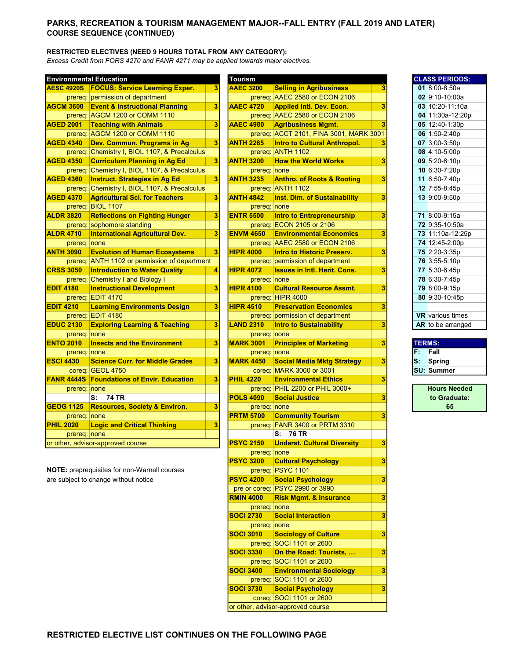## PARKS, RECREATION & TOURISM MANAGEMENT MAJOR--FALL ENTRY (FALL 2019 AND LATER) COURSE SEQUENCE (CONTINUED)

#### RESTRICTED ELECTIVES (NEED 9 HOURS TOTAL FROM ANY CATEGORY):

Excess Credit from FORS 4270 and FANR 4271 may be applied towards major electives.

| <b>Environmental Education</b> |                                               |   | <b>Tourism</b>   |                                         |   |    | <b>CLASS PERIODS:</b>   |
|--------------------------------|-----------------------------------------------|---|------------------|-----------------------------------------|---|----|-------------------------|
| <b>AESC 4920S</b>              | <b>FOCUS: Service Learning Exper.</b>         | 3 | <b>AAEC 3200</b> | <b>Selling in Agribusiness</b>          | 3 |    | 01 8:00-8:50a           |
|                                | prereg: permission of department              |   |                  | prereq: AAEC 2580 or ECON 2106          |   |    | 02 9:10-10:00a          |
| <b>AGCM 3600</b>               | <b>Event &amp; Instructional Planning</b>     | 3 | <b>AAEC 4720</b> | <b>Applied Intl. Dev. Econ.</b>         | 3 |    | $03 10:20-11:10a$       |
|                                | prereq: AGCM 1200 or COMM 1110                |   |                  | prereq: AAEC 2580 or ECON 2106          |   |    | 04 11:30a-12:20p        |
| <b>AGED 2001</b>               | <b>Teaching with Animals</b>                  | 3 | <b>AAEC 4980</b> | <b>Agribusiness Mgmt.</b>               | 3 |    | 05 12:40-1:30p          |
|                                | prereq: AGCM 1200 or COMM 1110                |   |                  | prereq: ACCT 2101, FINA 3001, MARK 3001 |   |    | 06 1:50-2:40p           |
| <b>AGED 4340</b>               | Dev. Commun. Programs in Ag                   | 3 | <b>ANTH 2265</b> | <b>Intro to Cultural Anthropol.</b>     | 3 |    | 07 3:00-3:50p           |
|                                | prereq: Chemistry I, BIOL 1107, & Precalculus |   |                  | prereq: ANTH 1102                       |   |    | 08 4:10-5:00p           |
| <b>AGED 4350</b>               | <b>Curriculum Planning in Ag Ed</b>           | 3 | <b>ANTH 3200</b> | <b>How the World Works</b>              | 3 |    | 09 5:20-6:10p           |
| prereq:                        | Chemistry I, BIOL 1107, & Precalculus         |   | prereq none      |                                         |   |    | 10 6:30-7:20p           |
| <b>AGED 4360</b>               | <b>Instruct. Strategies in Ag Ed</b>          | 3 | <b>ANTH 3235</b> | <b>Anthro. of Roots &amp; Rooting</b>   | 3 |    | 11 6:50-7:40p           |
|                                | prereq: Chemistry I, BIOL 1107, & Precalculus |   |                  | prereq: ANTH 1102                       |   |    | 12 7:55-8:45p           |
| <b>AGED 4370</b>               | <b>Agricultural Sci. for Teachers</b>         | 3 | <b>ANTH 4842</b> | <b>Inst. Dim. of Sustainability</b>     | 3 |    | 13 9:00-9:50p           |
|                                | prereq: BIOL 1107                             |   | prereq: none     |                                         |   |    |                         |
| <b>ALDR 3820</b>               | <b>Reflections on Fighting Hunger</b>         | 3 | <b>ENTR 5500</b> | Intro to Entrepreneurship               | 3 |    | 71 8:00-9:15a           |
|                                | prereq: sophomore standing                    |   |                  | prereq: ECON 2105 or 2106               |   |    | 72 9:35-10:50a          |
| <b>ALDR 4710</b>               | <b>International Agricultural Dev.</b>        | 3 | <b>ENVM 4650</b> | <b>Environmental Economics</b>          | 3 |    | 73 11:10a-12:25p        |
| prereq: none                   |                                               |   |                  | prereq: AAEC 2580 or ECON 2106          |   |    | 74 12:45-2:00p          |
| <b>ANTH 3090</b>               | <b>Evolution of Human Ecosystems</b>          | 3 | <b>HIPR 4000</b> | <b>Intro to Historic Preserv.</b>       | 3 |    | 75 2:20-3:35p           |
|                                | prereq: ANTH 1102 or permission of department |   |                  | prereq: permission of department        |   |    | 76 3:55-5:10p           |
| <b>CRSS 3050</b>               | <b>Introduction to Water Quality</b>          | 4 | <b>HIPR 4072</b> | <b>Issues in Intl. Herit. Cons.</b>     | 3 |    | 77 5:30-6:45p           |
|                                | prereq: Chemistry I and Biology I             |   | prereq: none     |                                         |   |    | 78 6:30-7:45p           |
| <b>EDIT 4180</b>               | <b>Instructional Development</b>              | 3 | <b>HIPR 4100</b> | <b>Cultural Resource Assmt.</b>         | 3 |    | 79 8:00-9:15p           |
|                                | prereq: EDIT 4170                             |   |                  | prereq: HIPR 4000                       |   |    | 80 9:30-10:45p          |
| <b>EDIT 4210</b>               | <b>Learning Environments Design</b>           | 3 | <b>HIPR 4510</b> | <b>Preservation Economics</b>           | 3 |    |                         |
|                                | prereq: EDIT 4180                             |   |                  | prereq: permission of department        |   |    | <b>VR</b> various times |
| <b>EDUC 2130</b>               | <b>Exploring Learning &amp; Teaching</b>      | 3 | <b>LAND 2310</b> | <b>Intro to Sustainability</b>          | 3 |    | AR to be arranged       |
| prereq: none                   |                                               |   | prereq: none     |                                         |   |    |                         |
| <b>ENTO 2010</b>               | <b>Insects and the Environment</b>            | 3 | <b>MARK 3001</b> | <b>Principles of Marketing</b>          | 3 |    | <b>TERMS:</b>           |
| prereq: none                   |                                               |   | prereq: none     |                                         |   | F. | Fall                    |
| <b>ESCI 4430</b>               | <b>Science Curr, for Middle Grades</b>        | 3 | <b>MARK 4450</b> | <b>Social Media Mktg Strategy</b>       | 3 | S: | Spring                  |
|                                | coreg: GEOL 4750                              |   |                  | coreg: MARK 3000 or 3001                |   |    | <b>SU: Summer</b>       |
| <b>FANR 4444S</b>              | <b>Foundations of Envir. Education</b>        | 3 | <b>PHIL 4220</b> | <b>Environmental Ethics</b>             | 3 |    |                         |
| prereq: none                   |                                               |   |                  | prereq: PHIL 2200 or PHIL 3000+         |   |    | <b>Hours Needed</b>     |
|                                | <b>74 TR</b><br>S:                            |   | <b>POLS 4090</b> | <b>Social Justice</b>                   | 3 |    | to Graduate:            |
| <b>GEOG 1125</b>               | <b>Resources, Society &amp; Environ.</b>      | 3 | prereq: none     |                                         |   |    | 65                      |
| prereq: none                   |                                               |   | <b>PRTM 5700</b> | <b>Community Tourism</b>                | 3 |    |                         |
| <b>PHIL 2020</b>               | <b>Logic and Critical Thinking</b>            | 3 |                  | prereq: FANR 3400 or PRTM 3310          |   |    |                         |
| prereq: none                   |                                               |   |                  | <b>76 TR</b><br>S:                      |   |    |                         |
|                                | or other, advisor-approved course             |   | <b>PSYC 2150</b> | <b>Underst. Cultural Diversity</b>      | 3 |    |                         |

NOTE: preprequisites for non-Warnell courses are subject to change without notice

|              | nmental Education                             |   | Tourism          |                                                               |   |               | <b>CLASS PERIODS:</b>   |
|--------------|-----------------------------------------------|---|------------------|---------------------------------------------------------------|---|---------------|-------------------------|
| 4920S        | <b>FOCUS: Service Learning Exper.</b>         | 3 | <b>AAEC 3200</b> | <b>Selling in Agribusiness</b>                                | 3 |               | 01 8:00-8:50a           |
|              | prereq: permission of department              |   |                  | prereq: AAEC 2580 or ECON 2106                                |   |               | 02 9:10-10:00a          |
| 3600         | <b>Event &amp; Instructional Planning</b>     | 3 | <b>AAEC 4720</b> | <b>Applied Intl. Dev. Econ.</b>                               | 3 |               | 03 10:20-11:10a         |
|              | prereq: AGCM 1200 or COMM 1110                |   |                  | prereq: AAEC 2580 or ECON 2106                                |   |               | 04 11:30a-12:20p        |
| 2001         | <b>Teaching with Animals</b>                  | 3 | <b>AAEC 4980</b> | <b>Agribusiness Mgmt.</b>                                     | 3 |               | 05 12:40-1:30p          |
|              | prereq: AGCM 1200 or COMM 1110                |   |                  | prereq: ACCT 2101, FINA 3001, MARK 3001                       |   |               | 06 1:50-2:40p           |
| 4340         | Dev. Commun. Programs in Ag                   | 3 | <b>ANTH 2265</b> | <b>Intro to Cultural Anthropol.</b>                           | 3 |               | 07 3:00-3:50p           |
|              | prereq: Chemistry I, BIOL 1107, & Precalculus |   |                  | prereq: ANTH 1102                                             |   |               | 08 4:10-5:00p           |
| 4350         | <b>Curriculum Planning in Ag Ed</b>           | 3 | <b>ANTH 3200</b> | <b>How the World Works</b>                                    | 3 |               | 09 5:20-6:10p           |
|              | prereq: Chemistry I, BIOL 1107, & Precalculus |   | prereq: none     |                                                               |   |               | 10 6:30-7:20p           |
| 4360         | <b>Instruct. Strategies in Ag Ed</b>          | 3 | <b>ANTH 3235</b> | <b>Anthro. of Roots &amp; Rooting</b>                         | 3 |               | 11 6:50-7:40p           |
|              | prereg: Chemistry I, BIOL 1107, & Precalculus |   |                  | prereq: ANTH 1102                                             |   |               | 12 7:55-8:45p           |
| 4370         | <b>Agricultural Sci. for Teachers</b>         | 3 | <b>ANTH 4842</b> | <b>Inst. Dim. of Sustainability</b>                           | 3 |               | 13 9:00-9:50p           |
|              | prereq: BIOL 1107                             |   | prereq: none     |                                                               |   |               |                         |
| 3820         | <b>Reflections on Fighting Hunger</b>         | 3 | <b>ENTR 5500</b> | <b>Intro to Entrepreneurship</b>                              | 3 |               | 71 8:00-9:15a           |
|              | prereq: sophomore standing                    |   |                  | prereq: ECON 2105 or 2106                                     |   |               | 72 9:35-10:50a          |
| 4710         | <b>International Agricultural Dev.</b>        | 3 | <b>ENVM 4650</b> | <b>Environmental Economics</b>                                | 3 |               | 73 11:10a-12:25p        |
| prereq: none |                                               |   |                  | prereq: AAEC 2580 or ECON 2106                                |   |               | 74 12:45-2:00p          |
| 3090         | <b>Evolution of Human Ecosystems</b>          | 3 | <b>HIPR 4000</b> | <b>Intro to Historic Preserv.</b>                             | 3 |               | 75 2:20-3:35p           |
|              | prereq: ANTH 1102 or permission of department |   |                  | prereq: permission of department                              |   |               | 76 3:55-5:10p           |
| 3050         | <b>Introduction to Water Quality</b>          | 4 | <b>HIPR 4072</b> | <b>Issues in Intl. Herit. Cons.</b>                           | 3 |               | 77 5:30-6:45p           |
|              | prereq: Chemistry I and Biology I             |   | prereq: none     |                                                               |   |               | 78 6:30-7:45p           |
| 180          | <b>Instructional Development</b>              | 3 | <b>HIPR 4100</b> | <b>Cultural Resource Assmt.</b>                               | 3 |               | 79 8:00-9:15p           |
|              | prereq: EDIT 4170                             |   |                  | prereq: HIPR 4000                                             |   |               | 80 9:30-10:45p          |
| 210          | <b>Learning Environments Design</b>           | 3 | <b>HIPR 4510</b> | <b>Preservation Economics</b>                                 | 3 |               |                         |
|              | prereq: EDIT 4180                             |   |                  | prereq: permission of department                              |   |               | <b>VR</b> various times |
| 2130         | <b>Exploring Learning &amp; Teaching</b>      | 3 | <b>LAND 2310</b> | <b>Intro to Sustainability</b>                                | 3 |               | AR to be arranged       |
| prereq: none |                                               |   | prereq: none     |                                                               |   |               |                         |
|              |                                               |   |                  |                                                               |   |               |                         |
| 2010         | <b>Insects and the Environment</b>            | 3 | <b>MARK 3001</b> | <b>Principles of Marketing</b>                                | 3 | <b>TERMS:</b> |                         |
| prereq: none |                                               |   | prereq: none     |                                                               |   | F.            | Fall                    |
| 430          | <b>Science Curr. for Middle Grades</b>        | 3 | <b>MARK 4450</b> | <b>Social Media Mktg Strategy</b>                             | 3 | s:            | <b>Spring</b>           |
|              | coreq: GEOL 4750                              |   |                  | coreq: MARK 3000 or 3001                                      |   |               | <b>SU: Summer</b>       |
|              | 4444S Foundations of Envir. Education         | 3 | <b>PHIL 4220</b> | <b>Environmental Ethics</b>                                   | 3 |               |                         |
| prereq: none |                                               |   |                  | prereq: PHIL 2200 or PHIL 3000+                               |   |               | <b>Hours Needed</b>     |
|              | <b>74 TR</b><br>s:                            |   | <b>POLS 4090</b> | <b>Social Justice</b>                                         | 3 |               | to Graduate:            |
| 1125         | <b>Resources, Society &amp; Environ.</b>      | 3 | prereq: none     |                                                               |   |               | 65                      |
| prereq: none |                                               |   | <b>PRTM 5700</b> | <b>Community Tourism</b>                                      | 3 |               |                         |
| 020          | <b>Logic and Critical Thinking</b>            | 3 |                  | prereq: FANR 3400 or PRTM 3310                                |   |               |                         |
| prereq: none |                                               |   |                  | S: 76 TR                                                      |   |               |                         |
|              | r, advisor-approved course                    |   | <b>PSYC 2150</b> | <b>Underst. Cultural Diversity</b>                            | 3 |               |                         |
|              |                                               |   | prereq: none     |                                                               |   |               |                         |
|              |                                               |   | <b>PSYC 3200</b> | <b>Cultural Psychology</b>                                    | 3 |               |                         |
|              | preprequisites for non-Warnell courses        |   |                  | prereq: PSYC 1101                                             |   |               |                         |
|              | bject to change without notice                |   | <b>PSYC 4200</b> | <b>Social Psychology</b>                                      | 3 |               |                         |
|              |                                               |   |                  | pre or coreq: PSYC 2990 or 3990                               |   |               |                         |
|              |                                               |   | <b>RMIN 4000</b> | <b>Risk Mgmt. &amp; Insurance</b>                             | 3 |               |                         |
|              |                                               |   | prereq: none     |                                                               |   |               |                         |
|              |                                               |   | <b>SOCI 2730</b> | <b>Social Interaction</b>                                     | 3 |               |                         |
|              |                                               |   | prereq: none     |                                                               |   |               |                         |
|              |                                               |   | <b>SOCI 3010</b> | <b>Sociology of Culture</b>                                   | 3 |               |                         |
|              |                                               |   |                  | prereq: SOCI 1101 or 2600                                     |   |               |                         |
|              |                                               |   | <b>SOCI 3330</b> | On the Road: Tourists,                                        | 3 |               |                         |
|              |                                               |   |                  | prereq: SOCI 1101 or 2600                                     |   |               |                         |
|              |                                               |   | <b>SOCI 3400</b> | <b>Environmental Sociology</b>                                | 3 |               |                         |
|              |                                               |   |                  | prereq: SOCI 1101 or 2600                                     |   |               |                         |
|              |                                               |   | <b>SOCI 3730</b> | <b>Social Psychology</b>                                      | 3 |               |                         |
|              |                                               |   |                  | coreq: SOCI 1101 or 2600<br>or other, advisor-approved course |   |               |                         |

|    | <b>JLASS PERIODS:</b>   |
|----|-------------------------|
|    | 01 8:00-8:50a           |
|    | 02 9:10-10:00a          |
|    | 03 10:20-11:10a         |
|    | 04 11:30a-12:20p        |
|    | 05 12:40-1:30p          |
|    | 06 1:50-2:40p           |
|    | 07 3:00-3:50p           |
|    | 08 4:10-5:00p           |
|    | 09 5:20-6:10p           |
|    | 10 6:30-7:20p           |
|    | 11 6:50-7:40p           |
|    | 12 7:55-8:45p           |
|    | 13 9:00-9:50p           |
|    |                         |
| 71 | 8:00-9:15a              |
|    | 72 9:35-10:50a          |
|    | 73 11:10a-12:25p        |
|    | 74 12:45-2:00p          |
|    | 75 2:20-3:35p           |
|    | 76 3:55-5:10p           |
|    | 77 5:30-6:45p           |
|    | 78 6:30-7:45p           |
|    | 79 8:00-9:15p           |
|    | 80 9:30-10:45p          |
|    |                         |
|    | <b>VR</b> various times |
|    | AR to be arranged       |
|    |                         |
|    | <b>TERMS:</b>           |
| ì, | Fall                    |
|    |                         |

| <b>TERMS:</b> |                   |  |  |  |  |  |
|---------------|-------------------|--|--|--|--|--|
| F.            | Fall              |  |  |  |  |  |
| s.            | Spring            |  |  |  |  |  |
|               | <b>SU: Summer</b> |  |  |  |  |  |

| <b>Hours Needed</b> |
|---------------------|
| to Graduate:        |
| 65                  |